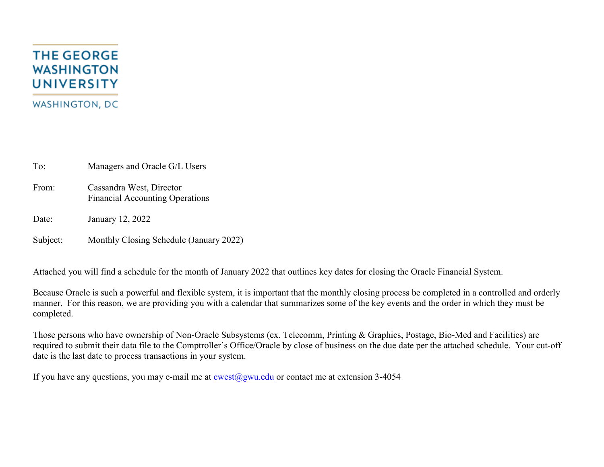## **THE GEORGE WASHINGTON UNIVERSITY WASHINGTON, DC**

To: Managers and Oracle G/L Users

- From: Cassandra West, Director Financial Accounting Operations
- Date: January 12, 2022

Subject: Monthly Closing Schedule (January 2022)

Attached you will find a schedule for the month of January 2022 that outlines key dates for closing the Oracle Financial System.

Because Oracle is such a powerful and flexible system, it is important that the monthly closing process be completed in a controlled and orderly manner. For this reason, we are providing you with a calendar that summarizes some of the key events and the order in which they must be completed.

Those persons who have ownership of Non-Oracle Subsystems (ex. Telecomm, Printing & Graphics, Postage, Bio-Med and Facilities) are required to submit their data file to the Comptroller's Office/Oracle by close of business on the due date per the attached schedule. Your cut-off date is the last date to process transactions in your system.

If you have any questions, you may e-mail me at  $\cos(\omega)$ gwu.edu or contact me at extension 3-4054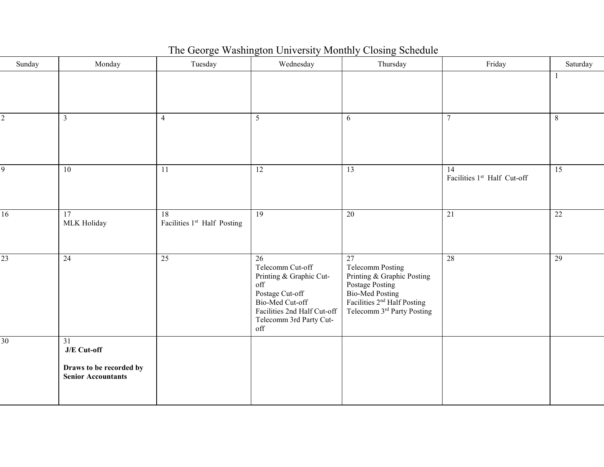| The George Washington University Monthly Closing Schedule |  |  |  |
|-----------------------------------------------------------|--|--|--|
|                                                           |  |  |  |

| Sunday          | Monday                                                                    | Tuesday                                        | Wednesday                                                                                                                                                       | Thursday                                                                                                                                                  | Friday                            | Saturday        |
|-----------------|---------------------------------------------------------------------------|------------------------------------------------|-----------------------------------------------------------------------------------------------------------------------------------------------------------------|-----------------------------------------------------------------------------------------------------------------------------------------------------------|-----------------------------------|-----------------|
|                 |                                                                           |                                                |                                                                                                                                                                 |                                                                                                                                                           |                                   |                 |
| $\overline{c}$  | $\mathbf{3}$                                                              | $\overline{4}$                                 | 5                                                                                                                                                               | 6                                                                                                                                                         | $\tau$                            | 8               |
| 9               | 10                                                                        | 11                                             | $\overline{12}$                                                                                                                                                 | $\overline{13}$                                                                                                                                           | 14<br>Facilities 1st Half Cut-off | $\overline{15}$ |
| 16              | 17<br>MLK Holiday                                                         | $\overline{18}$<br>Facilities 1st Half Posting | 19                                                                                                                                                              | $\overline{20}$                                                                                                                                           | 21                                | $\overline{22}$ |
| 23              | 24                                                                        | 25                                             | 26<br>Telecomm Cut-off<br>Printing & Graphic Cut-<br>off<br>Postage Cut-off<br>Bio-Med Cut-off<br>Facilities 2nd Half Cut-off<br>Telecomm 3rd Party Cut-<br>off | 27<br>Telecomm Posting<br>Printing & Graphic Posting<br>Postage Posting<br>Bio-Med Posting<br>Facilities $2nd$ Half Posting<br>Telecomm 3rd Party Posting | 28                                | 29              |
| $\overline{30}$ | 31<br>J/E Cut-off<br>Draws to be recorded by<br><b>Senior Accountants</b> |                                                |                                                                                                                                                                 |                                                                                                                                                           |                                   |                 |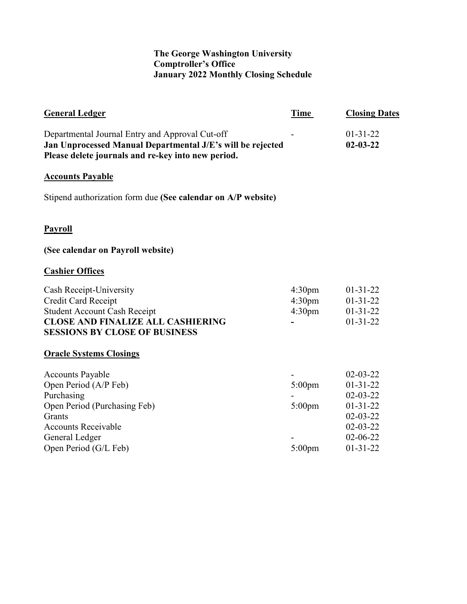## **The George Washington University Comptroller's Office January 2022 Monthly Closing Schedule**

| <b>General Ledger</b>                                                                                                                                                             | Time                                                           | <b>Closing Dates</b>                                                                                                                         |
|-----------------------------------------------------------------------------------------------------------------------------------------------------------------------------------|----------------------------------------------------------------|----------------------------------------------------------------------------------------------------------------------------------------------|
| Departmental Journal Entry and Approval Cut-off<br>Jan Unprocessed Manual Departmental J/E's will be rejected<br>Please delete journals and re-key into new period.               |                                                                | $01 - 31 - 22$<br>$02 - 03 - 22$                                                                                                             |
| <b>Accounts Payable</b>                                                                                                                                                           |                                                                |                                                                                                                                              |
| Stipend authorization form due (See calendar on A/P website)                                                                                                                      |                                                                |                                                                                                                                              |
| <b>Payroll</b>                                                                                                                                                                    |                                                                |                                                                                                                                              |
| (See calendar on Payroll website)                                                                                                                                                 |                                                                |                                                                                                                                              |
| <b>Cashier Offices</b>                                                                                                                                                            |                                                                |                                                                                                                                              |
| Cash Receipt-University<br><b>Credit Card Receipt</b><br><b>Student Account Cash Receipt</b><br><b>CLOSE AND FINALIZE ALL CASHIERING</b><br><b>SESSIONS BY CLOSE OF BUSINESS</b>  | 4:30 <sub>pm</sub><br>4:30 <sub>pm</sub><br>4:30 <sub>pm</sub> | $01-31-22$<br>$01-31-22$<br>$01 - 31 - 22$<br>$01 - 31 - 22$                                                                                 |
| <b>Oracle Systems Closings</b>                                                                                                                                                    |                                                                |                                                                                                                                              |
| <b>Accounts Payable</b><br>Open Period (A/P Feb)<br>Purchasing<br>Open Period (Purchasing Feb)<br>Grants<br><b>Accounts Receivable</b><br>General Ledger<br>Open Period (G/L Feb) | $5:00$ pm<br>$5:00$ pm<br>$5:00$ pm                            | $02 - 03 - 22$<br>$01 - 31 - 22$<br>$02 - 03 - 22$<br>$01 - 31 - 22$<br>$02 - 03 - 22$<br>$02 - 03 - 22$<br>$02 - 06 - 22$<br>$01 - 31 - 22$ |
|                                                                                                                                                                                   |                                                                |                                                                                                                                              |